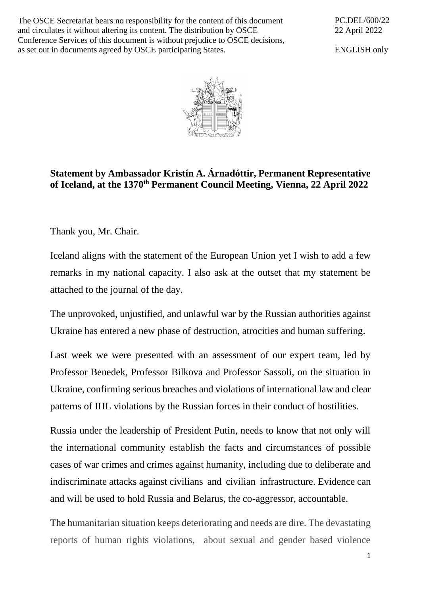The OSCE Secretariat bears no responsibility for the content of this document and circulates it without altering its content. The distribution by OSCE Conference Services of this document is without prejudice to OSCE decisions, as set out in documents agreed by OSCE participating States.

PC.DEL/600/22 22 April 2022

ENGLISH only



## **Statement by Ambassador Kristín A. Árnadóttir, Permanent Representative of Iceland, at the 1370 th Permanent Council Meeting, Vienna, 22 April 2022**

Thank you, Mr. Chair.

Iceland aligns with the statement of the European Union yet I wish to add a few remarks in my national capacity. I also ask at the outset that my statement be attached to the journal of the day.

The unprovoked, unjustified, and unlawful war by the Russian authorities against Ukraine has entered a new phase of destruction, atrocities and human suffering.

Last week we were presented with an assessment of our expert team, led by Professor Benedek, Professor Bilkova and Professor Sassoli, on the situation in Ukraine, confirming serious breaches and violations of international law and clear patterns of IHL violations by the Russian forces in their conduct of hostilities.

Russia under the leadership of President Putin, needs to know that not only will the international community establish the facts and circumstances of possible cases of war crimes and crimes against humanity, including due to deliberate and indiscriminate attacks against civilians and civilian infrastructure. Evidence can and will be used to hold Russia and Belarus, the co-aggressor, accountable.

The humanitarian situation keeps deteriorating and needs are dire. The devastating reports of human rights violations, about sexual and gender based violence